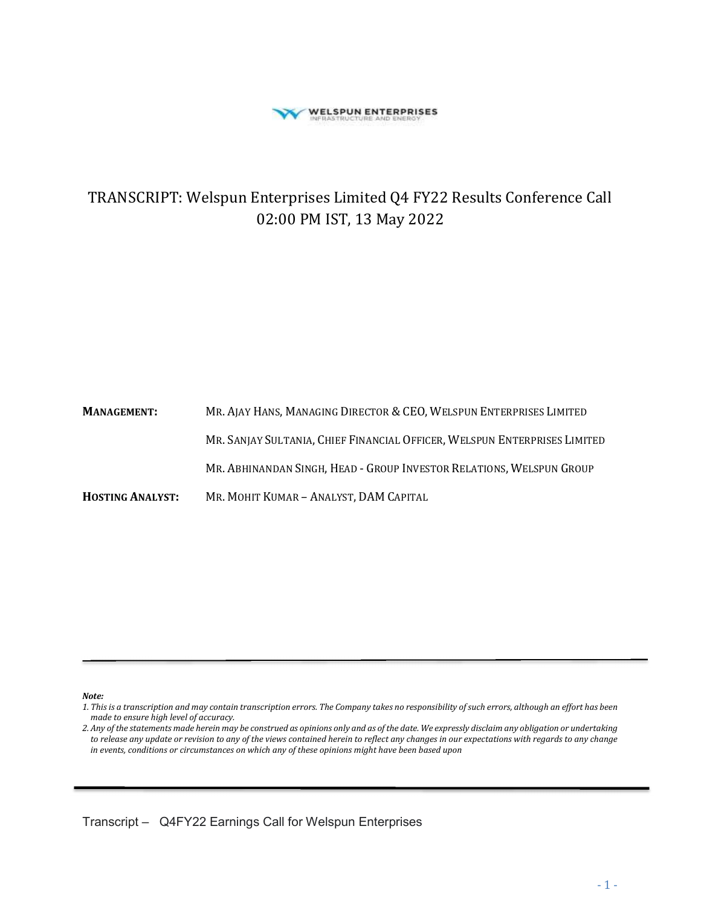

# TRANSCRIPT: Welspun Enterprises Limited Q4 FY22 Results Conference Call 02:00 PM IST, 13 May 2022

MANAGEMENT: MR. AJAY HANS, MANAGING DIRECTOR & CEO, WELSPUN ENTERPRISES LIMITED MR. SANJAY SULTANIA, CHIEF FINANCIAL OFFICER, WELSPUN ENTERPRISES LIMITED MR. ABHINANDAN SINGH, HEAD - GROUP INVESTOR RELATIONS, WELSPUN GROUP HOSTING ANALYST: MR. MOHIT KUMAR – ANALYST, DAM CAPITAL

Note:

ī

<sup>1.</sup> This is a transcription and may contain transcription errors. The Company takes no responsibility of such errors, although an effort has been made to ensure high level of accuracy.

<sup>2.</sup> Any of the statements made herein may be construed as opinions only and as of the date. We expressly disclaim any obligation or undertaking to release any update or revision to any of the views contained herein to reflect any changes in our expectations with regards to any change in events, conditions or circumstances on which any of these opinions might have been based upon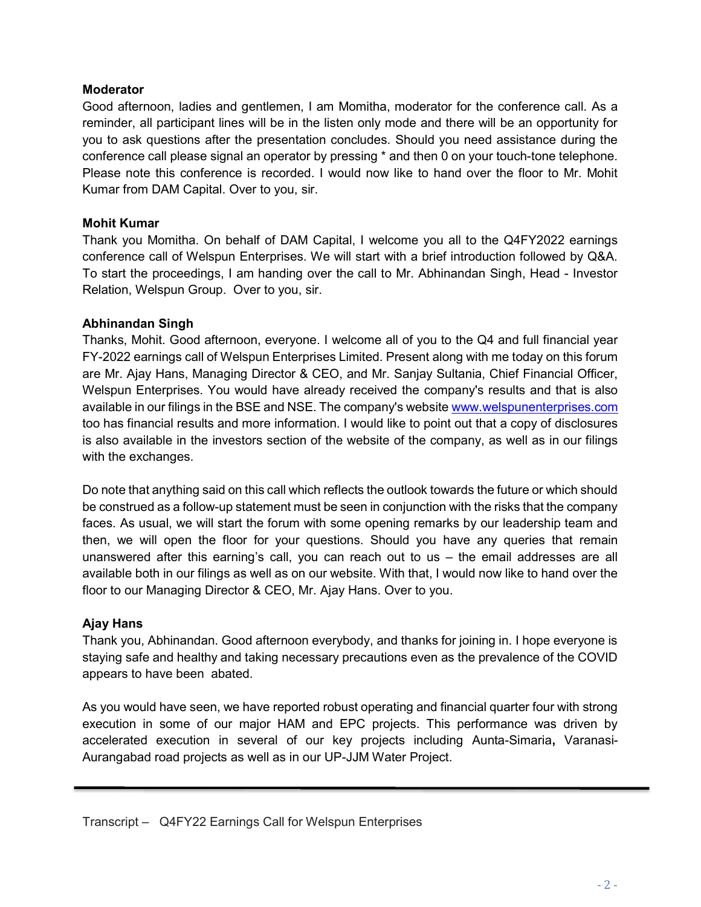### Moderator

Good afternoon, ladies and gentlemen, I am Momitha, moderator for the conference call. As a reminder, all participant lines will be in the listen only mode and there will be an opportunity for you to ask questions after the presentation concludes. Should you need assistance during the conference call please signal an operator by pressing \* and then 0 on your touch-tone telephone. Please note this conference is recorded. I would now like to hand over the floor to Mr. Mohit Kumar from DAM Capital. Over to you, sir.

### Mohit Kumar

Thank you Momitha. On behalf of DAM Capital, I welcome you all to the Q4FY2022 earnings conference call of Welspun Enterprises. We will start with a brief introduction followed by Q&A. To start the proceedings, I am handing over the call to Mr. Abhinandan Singh, Head - Investor Relation, Welspun Group. Over to you, sir.

### Abhinandan Singh

Thanks, Mohit. Good afternoon, everyone. I welcome all of you to the Q4 and full financial year FY-2022 earnings call of Welspun Enterprises Limited. Present along with me today on this forum are Mr. Ajay Hans, Managing Director & CEO, and Mr. Sanjay Sultania, Chief Financial Officer, Welspun Enterprises. You would have already received the company's results and that is also available in our filings in the BSE and NSE. The company's website www.welspunenterprises.com too has financial results and more information. I would like to point out that a copy of disclosures is also available in the investors section of the website of the company, as well as in our filings with the exchanges.

Do note that anything said on this call which reflects the outlook towards the future or which should be construed as a follow-up statement must be seen in conjunction with the risks that the company faces. As usual, we will start the forum with some opening remarks by our leadership team and then, we will open the floor for your questions. Should you have any queries that remain unanswered after this earning's call, you can reach out to us – the email addresses are all available both in our filings as well as on our website. With that, I would now like to hand over the floor to our Managing Director & CEO, Mr. Ajay Hans. Over to you.

### Ajay Hans

ī

Thank you, Abhinandan. Good afternoon everybody, and thanks for joining in. I hope everyone is staying safe and healthy and taking necessary precautions even as the prevalence of the COVID appears to have been abated.

As you would have seen, we have reported robust operating and financial quarter four with strong execution in some of our major HAM and EPC projects. This performance was driven by accelerated execution in several of our key projects including Aunta-Simaria, Varanasi-Aurangabad road projects as well as in our UP-JJM Water Project.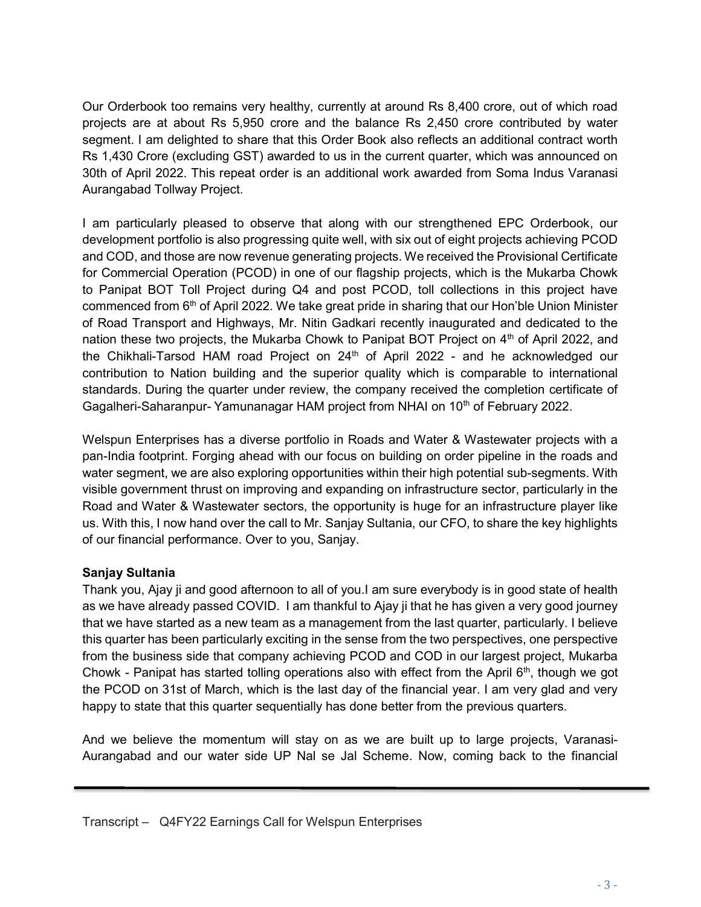Our Orderbook too remains very healthy, currently at around Rs 8,400 crore, out of which road projects are at about Rs 5,950 crore and the balance Rs 2,450 crore contributed by water segment. I am delighted to share that this Order Book also reflects an additional contract worth Rs 1,430 Crore (excluding GST) awarded to us in the current quarter, which was announced on 30th of April 2022. This repeat order is an additional work awarded from Soma Indus Varanasi Aurangabad Tollway Project.

I am particularly pleased to observe that along with our strengthened EPC Orderbook, our development portfolio is also progressing quite well, with six out of eight projects achieving PCOD and COD, and those are now revenue generating projects. We received the Provisional Certificate for Commercial Operation (PCOD) in one of our flagship projects, which is the Mukarba Chowk to Panipat BOT Toll Project during Q4 and post PCOD, toll collections in this project have commenced from  $6<sup>th</sup>$  of April 2022. We take great pride in sharing that our Hon'ble Union Minister of Road Transport and Highways, Mr. Nitin Gadkari recently inaugurated and dedicated to the nation these two projects, the Mukarba Chowk to Panipat BOT Project on  $4<sup>th</sup>$  of April 2022, and the Chikhali-Tarsod HAM road Project on  $24<sup>th</sup>$  of April 2022 - and he acknowledged our contribution to Nation building and the superior quality which is comparable to international standards. During the quarter under review, the company received the completion certificate of Gagalheri-Saharanpur- Yamunanagar HAM project from NHAI on 10<sup>th</sup> of February 2022.

Welspun Enterprises has a diverse portfolio in Roads and Water & Wastewater projects with a pan-India footprint. Forging ahead with our focus on building on order pipeline in the roads and water segment, we are also exploring opportunities within their high potential sub-segments. With visible government thrust on improving and expanding on infrastructure sector, particularly in the Road and Water & Wastewater sectors, the opportunity is huge for an infrastructure player like us. With this, I now hand over the call to Mr. Sanjay Sultania, our CFO, to share the key highlights of our financial performance. Over to you, Sanjay.

### Sanjay Sultania

ī

Thank you, Ajay ji and good afternoon to all of you.I am sure everybody is in good state of health as we have already passed COVID. I am thankful to Ajay ji that he has given a very good journey that we have started as a new team as a management from the last quarter, particularly. I believe this quarter has been particularly exciting in the sense from the two perspectives, one perspective from the business side that company achieving PCOD and COD in our largest project, Mukarba Chowk - Panipat has started tolling operations also with effect from the April  $6<sup>th</sup>$ , though we got the PCOD on 31st of March, which is the last day of the financial year. I am very glad and very happy to state that this quarter sequentially has done better from the previous quarters.

And we believe the momentum will stay on as we are built up to large projects, Varanasi-Aurangabad and our water side UP Nal se Jal Scheme. Now, coming back to the financial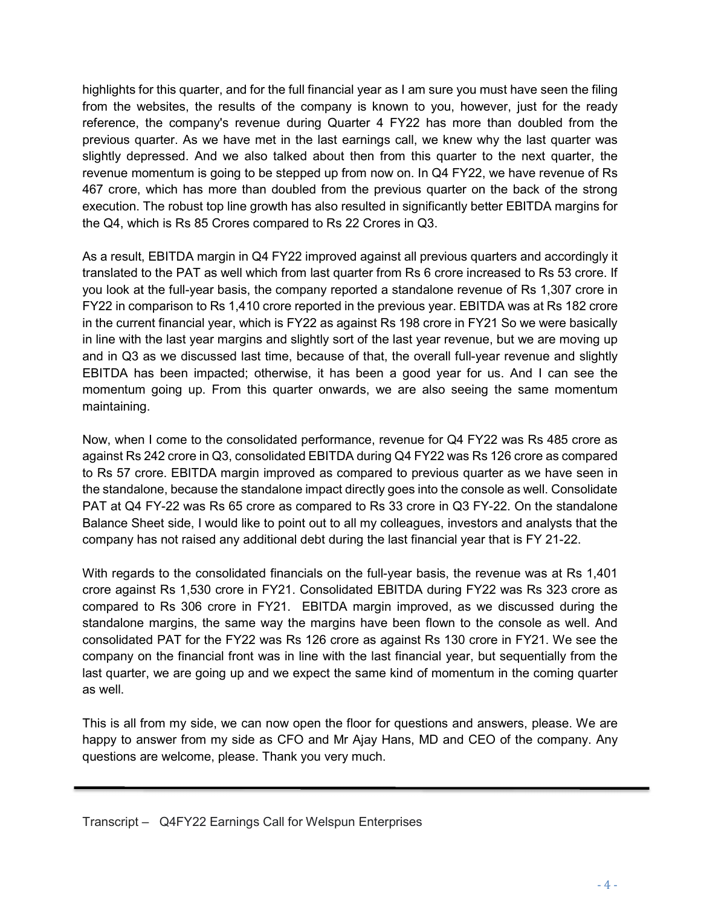highlights for this quarter, and for the full financial year as I am sure you must have seen the filing from the websites, the results of the company is known to you, however, just for the ready reference, the company's revenue during Quarter 4 FY22 has more than doubled from the previous quarter. As we have met in the last earnings call, we knew why the last quarter was slightly depressed. And we also talked about then from this quarter to the next quarter, the revenue momentum is going to be stepped up from now on. In Q4 FY22, we have revenue of Rs 467 crore, which has more than doubled from the previous quarter on the back of the strong execution. The robust top line growth has also resulted in significantly better EBITDA margins for the Q4, which is Rs 85 Crores compared to Rs 22 Crores in Q3.

As a result, EBITDA margin in Q4 FY22 improved against all previous quarters and accordingly it translated to the PAT as well which from last quarter from Rs 6 crore increased to Rs 53 crore. If you look at the full-year basis, the company reported a standalone revenue of Rs 1,307 crore in FY22 in comparison to Rs 1,410 crore reported in the previous year. EBITDA was at Rs 182 crore in the current financial year, which is FY22 as against Rs 198 crore in FY21 So we were basically in line with the last year margins and slightly sort of the last year revenue, but we are moving up and in Q3 as we discussed last time, because of that, the overall full-year revenue and slightly EBITDA has been impacted; otherwise, it has been a good year for us. And I can see the momentum going up. From this quarter onwards, we are also seeing the same momentum maintaining.

Now, when I come to the consolidated performance, revenue for Q4 FY22 was Rs 485 crore as against Rs 242 crore in Q3, consolidated EBITDA during Q4 FY22 was Rs 126 crore as compared to Rs 57 crore. EBITDA margin improved as compared to previous quarter as we have seen in the standalone, because the standalone impact directly goes into the console as well. Consolidate PAT at Q4 FY-22 was Rs 65 crore as compared to Rs 33 crore in Q3 FY-22. On the standalone Balance Sheet side, I would like to point out to all my colleagues, investors and analysts that the company has not raised any additional debt during the last financial year that is FY 21-22.

With regards to the consolidated financials on the full-year basis, the revenue was at Rs 1,401 crore against Rs 1,530 crore in FY21. Consolidated EBITDA during FY22 was Rs 323 crore as compared to Rs 306 crore in FY21. EBITDA margin improved, as we discussed during the standalone margins, the same way the margins have been flown to the console as well. And consolidated PAT for the FY22 was Rs 126 crore as against Rs 130 crore in FY21. We see the company on the financial front was in line with the last financial year, but sequentially from the last quarter, we are going up and we expect the same kind of momentum in the coming quarter as well.

This is all from my side, we can now open the floor for questions and answers, please. We are happy to answer from my side as CFO and Mr Ajay Hans, MD and CEO of the company. Any questions are welcome, please. Thank you very much.

ī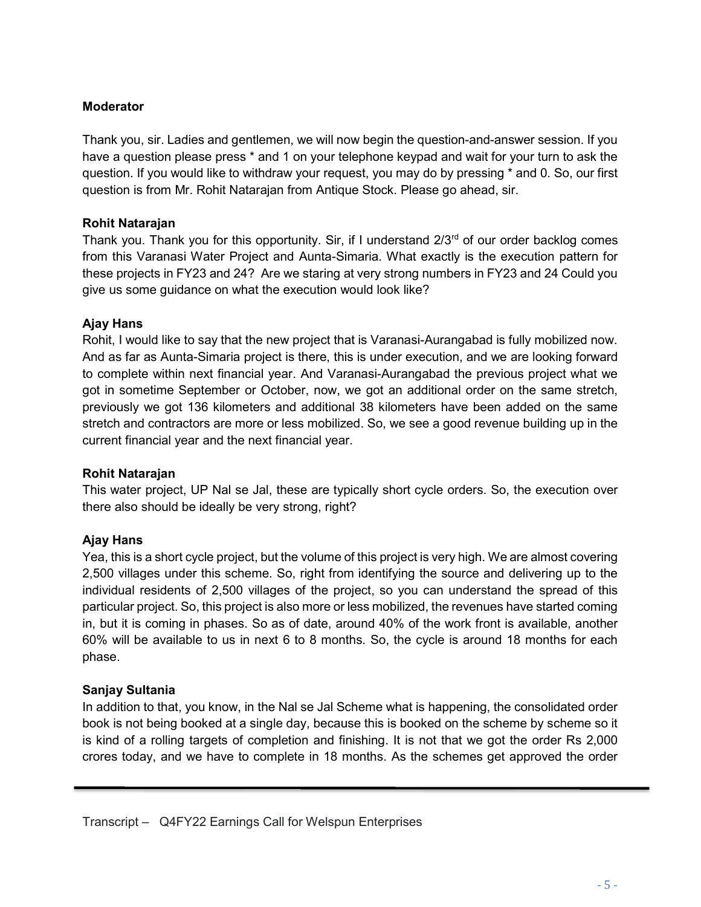### Moderator

Thank you, sir. Ladies and gentlemen, we will now begin the question-and-answer session. If you have a question please press \* and 1 on your telephone keypad and wait for your turn to ask the question. If you would like to withdraw your request, you may do by pressing \* and 0. So, our first question is from Mr. Rohit Natarajan from Antique Stock. Please go ahead, sir.

#### Rohit Natarajan

Thank you. Thank you for this opportunity. Sir, if I understand  $2/3<sup>rd</sup>$  of our order backlog comes from this Varanasi Water Project and Aunta-Simaria. What exactly is the execution pattern for these projects in FY23 and 24? Are we staring at very strong numbers in FY23 and 24 Could you give us some guidance on what the execution would look like?

### Ajay Hans

Rohit, I would like to say that the new project that is Varanasi-Aurangabad is fully mobilized now. And as far as Aunta-Simaria project is there, this is under execution, and we are looking forward to complete within next financial year. And Varanasi-Aurangabad the previous project what we got in sometime September or October, now, we got an additional order on the same stretch, previously we got 136 kilometers and additional 38 kilometers have been added on the same stretch and contractors are more or less mobilized. So, we see a good revenue building up in the current financial year and the next financial year.

#### Rohit Natarajan

This water project, UP Nal se Jal, these are typically short cycle orders. So, the execution over there also should be ideally be very strong, right?

### Ajay Hans

Yea, this is a short cycle project, but the volume of this project is very high. We are almost covering 2,500 villages under this scheme. So, right from identifying the source and delivering up to the individual residents of 2,500 villages of the project, so you can understand the spread of this particular project. So, this project is also more or less mobilized, the revenues have started coming in, but it is coming in phases. So as of date, around 40% of the work front is available, another 60% will be available to us in next 6 to 8 months. So, the cycle is around 18 months for each phase.

### Sanjay Sultania

ī

In addition to that, you know, in the Nal se Jal Scheme what is happening, the consolidated order book is not being booked at a single day, because this is booked on the scheme by scheme so it is kind of a rolling targets of completion and finishing. It is not that we got the order Rs 2,000 crores today, and we have to complete in 18 months. As the schemes get approved the order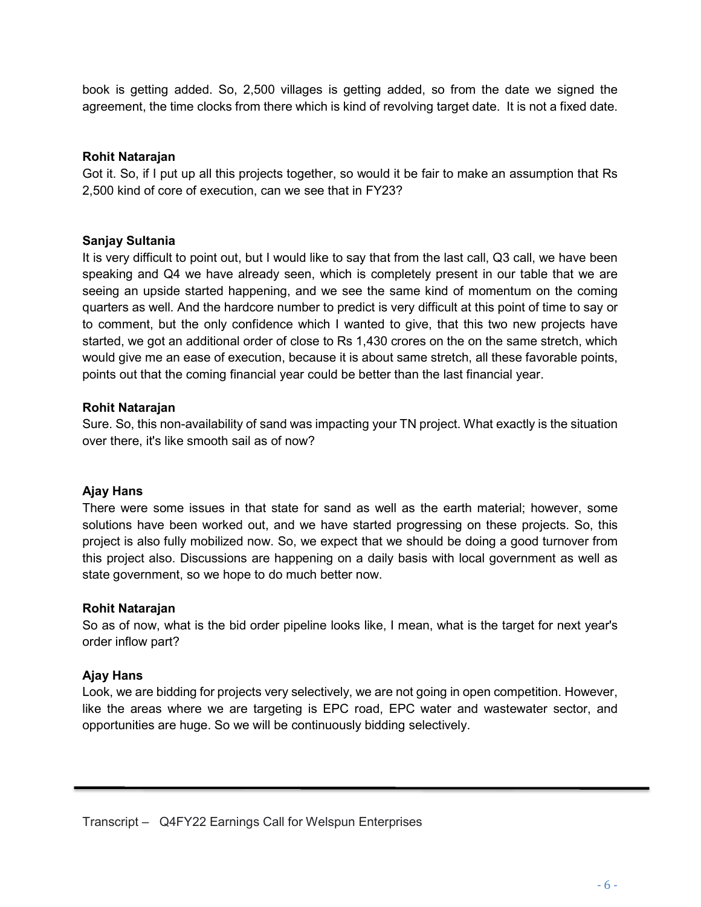book is getting added. So, 2,500 villages is getting added, so from the date we signed the agreement, the time clocks from there which is kind of revolving target date. It is not a fixed date.

### Rohit Natarajan

Got it. So, if I put up all this projects together, so would it be fair to make an assumption that Rs 2,500 kind of core of execution, can we see that in FY23?

### Sanjay Sultania

It is very difficult to point out, but I would like to say that from the last call, Q3 call, we have been speaking and Q4 we have already seen, which is completely present in our table that we are seeing an upside started happening, and we see the same kind of momentum on the coming quarters as well. And the hardcore number to predict is very difficult at this point of time to say or to comment, but the only confidence which I wanted to give, that this two new projects have started, we got an additional order of close to Rs 1,430 crores on the on the same stretch, which would give me an ease of execution, because it is about same stretch, all these favorable points, points out that the coming financial year could be better than the last financial year.

#### Rohit Natarajan

Sure. So, this non-availability of sand was impacting your TN project. What exactly is the situation over there, it's like smooth sail as of now?

#### Ajay Hans

There were some issues in that state for sand as well as the earth material; however, some solutions have been worked out, and we have started progressing on these projects. So, this project is also fully mobilized now. So, we expect that we should be doing a good turnover from this project also. Discussions are happening on a daily basis with local government as well as state government, so we hope to do much better now.

#### Rohit Natarajan

So as of now, what is the bid order pipeline looks like, I mean, what is the target for next year's order inflow part?

#### Ajay Hans

ī

Look, we are bidding for projects very selectively, we are not going in open competition. However, like the areas where we are targeting is EPC road, EPC water and wastewater sector, and opportunities are huge. So we will be continuously bidding selectively.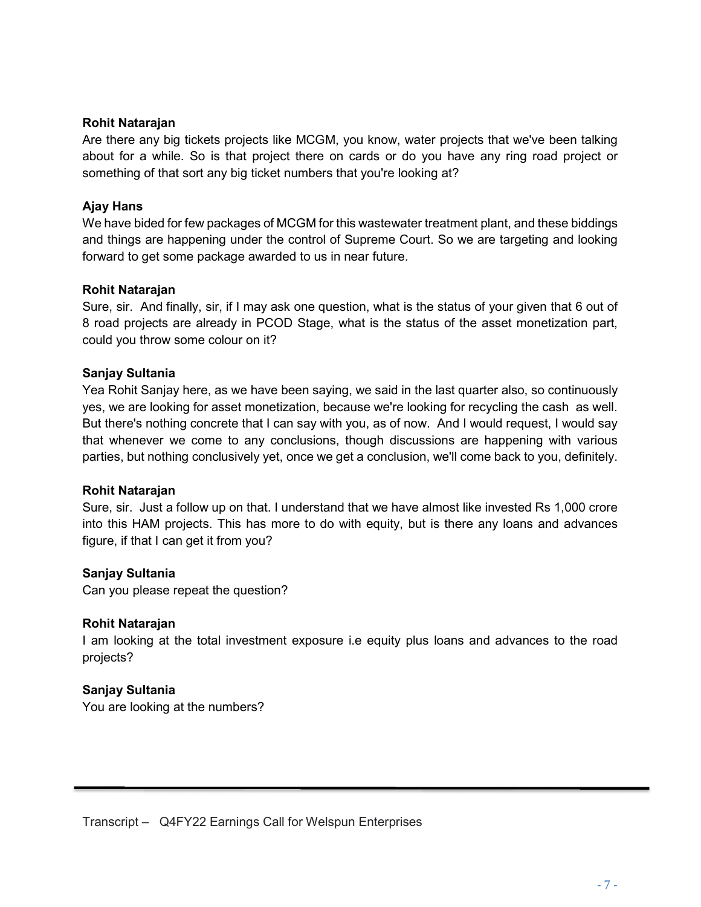#### Rohit Natarajan

Are there any big tickets projects like MCGM, you know, water projects that we've been talking about for a while. So is that project there on cards or do you have any ring road project or something of that sort any big ticket numbers that you're looking at?

#### Ajay Hans

We have bided for few packages of MCGM for this wastewater treatment plant, and these biddings and things are happening under the control of Supreme Court. So we are targeting and looking forward to get some package awarded to us in near future.

#### Rohit Natarajan

Sure, sir. And finally, sir, if I may ask one question, what is the status of your given that 6 out of 8 road projects are already in PCOD Stage, what is the status of the asset monetization part, could you throw some colour on it?

#### Sanjay Sultania

Yea Rohit Sanjay here, as we have been saying, we said in the last quarter also, so continuously yes, we are looking for asset monetization, because we're looking for recycling the cash as well. But there's nothing concrete that I can say with you, as of now. And I would request, I would say that whenever we come to any conclusions, though discussions are happening with various parties, but nothing conclusively yet, once we get a conclusion, we'll come back to you, definitely.

#### Rohit Natarajan

Sure, sir. Just a follow up on that. I understand that we have almost like invested Rs 1,000 crore into this HAM projects. This has more to do with equity, but is there any loans and advances figure, if that I can get it from you?

#### Sanjay Sultania

Can you please repeat the question?

#### Rohit Natarajan

I am looking at the total investment exposure i.e equity plus loans and advances to the road projects?

#### Sanjay Sultania

ī

You are looking at the numbers?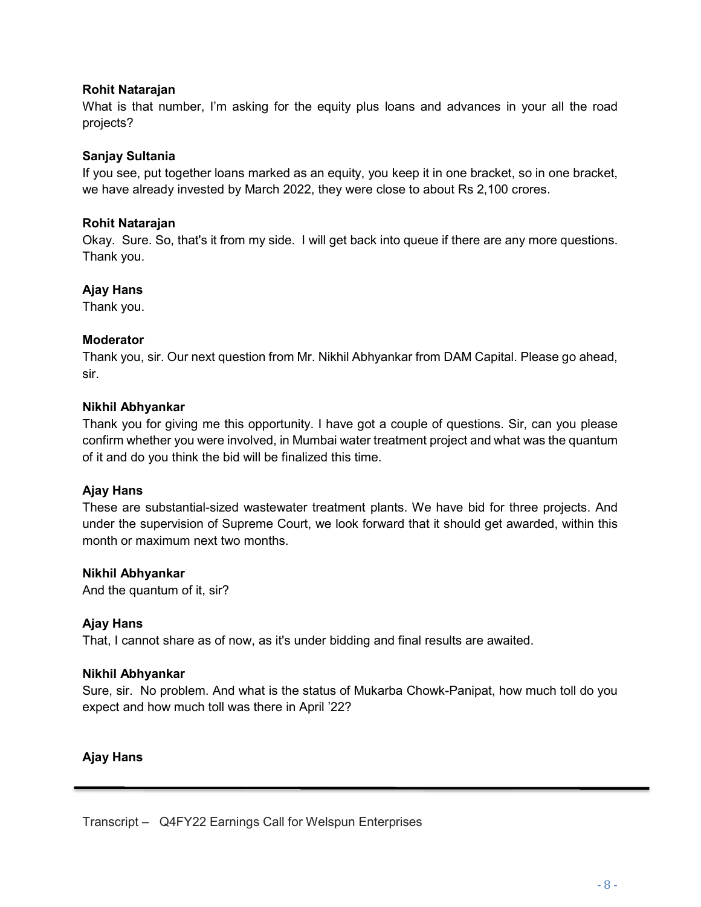### Rohit Natarajan

What is that number, I'm asking for the equity plus loans and advances in your all the road projects?

### Sanjay Sultania

If you see, put together loans marked as an equity, you keep it in one bracket, so in one bracket, we have already invested by March 2022, they were close to about Rs 2,100 crores.

### Rohit Natarajan

Okay. Sure. So, that's it from my side. I will get back into queue if there are any more questions. Thank you.

### Ajay Hans

Thank you.

### Moderator

Thank you, sir. Our next question from Mr. Nikhil Abhyankar from DAM Capital. Please go ahead, sir.

### Nikhil Abhyankar

Thank you for giving me this opportunity. I have got a couple of questions. Sir, can you please confirm whether you were involved, in Mumbai water treatment project and what was the quantum of it and do you think the bid will be finalized this time.

#### Ajay Hans

These are substantial-sized wastewater treatment plants. We have bid for three projects. And under the supervision of Supreme Court, we look forward that it should get awarded, within this month or maximum next two months.

#### Nikhil Abhyankar

And the quantum of it, sir?

#### Ajay Hans

That, I cannot share as of now, as it's under bidding and final results are awaited.

#### Nikhil Abhyankar

Sure, sir. No problem. And what is the status of Mukarba Chowk-Panipat, how much toll do you expect and how much toll was there in April '22?

### Ajay Hans

ī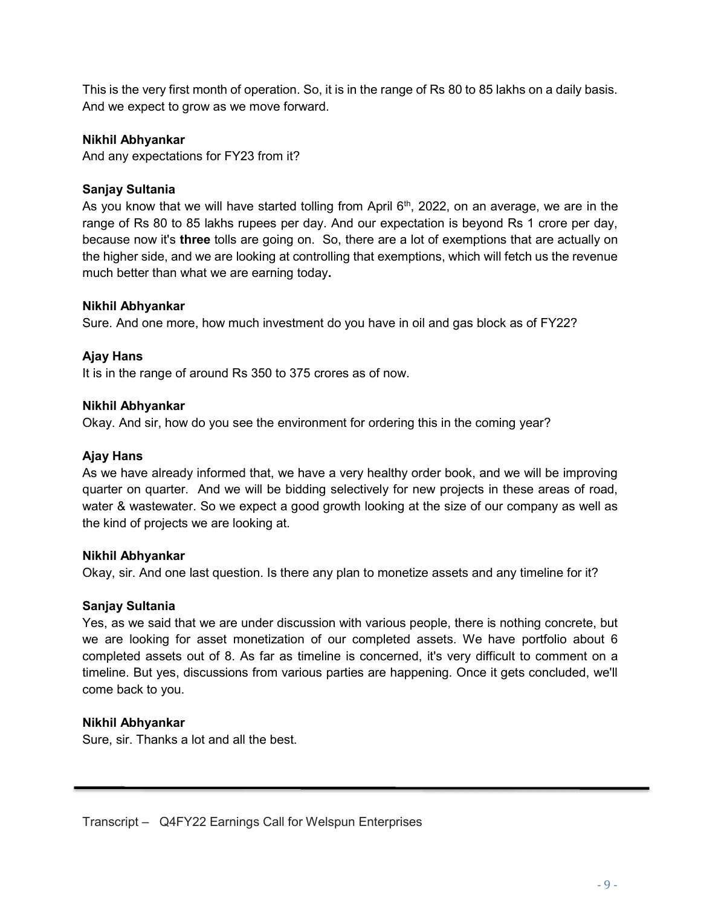This is the very first month of operation. So, it is in the range of Rs 80 to 85 lakhs on a daily basis. And we expect to grow as we move forward.

#### Nikhil Abhyankar

And any expectations for FY23 from it?

#### Sanjay Sultania

As you know that we will have started tolling from April  $6<sup>th</sup>$ , 2022, on an average, we are in the range of Rs 80 to 85 lakhs rupees per day. And our expectation is beyond Rs 1 crore per day, because now it's three tolls are going on. So, there are a lot of exemptions that are actually on the higher side, and we are looking at controlling that exemptions, which will fetch us the revenue much better than what we are earning today.

#### Nikhil Abhyankar

Sure. And one more, how much investment do you have in oil and gas block as of FY22?

#### Ajay Hans

It is in the range of around Rs 350 to 375 crores as of now.

#### Nikhil Abhyankar

Okay. And sir, how do you see the environment for ordering this in the coming year?

#### Ajay Hans

As we have already informed that, we have a very healthy order book, and we will be improving quarter on quarter. And we will be bidding selectively for new projects in these areas of road, water & wastewater. So we expect a good growth looking at the size of our company as well as the kind of projects we are looking at.

#### Nikhil Abhyankar

Okay, sir. And one last question. Is there any plan to monetize assets and any timeline for it?

#### Sanjay Sultania

Yes, as we said that we are under discussion with various people, there is nothing concrete, but we are looking for asset monetization of our completed assets. We have portfolio about 6 completed assets out of 8. As far as timeline is concerned, it's very difficult to comment on a timeline. But yes, discussions from various parties are happening. Once it gets concluded, we'll come back to you.

#### Nikhil Abhyankar

ī

Sure, sir. Thanks a lot and all the best.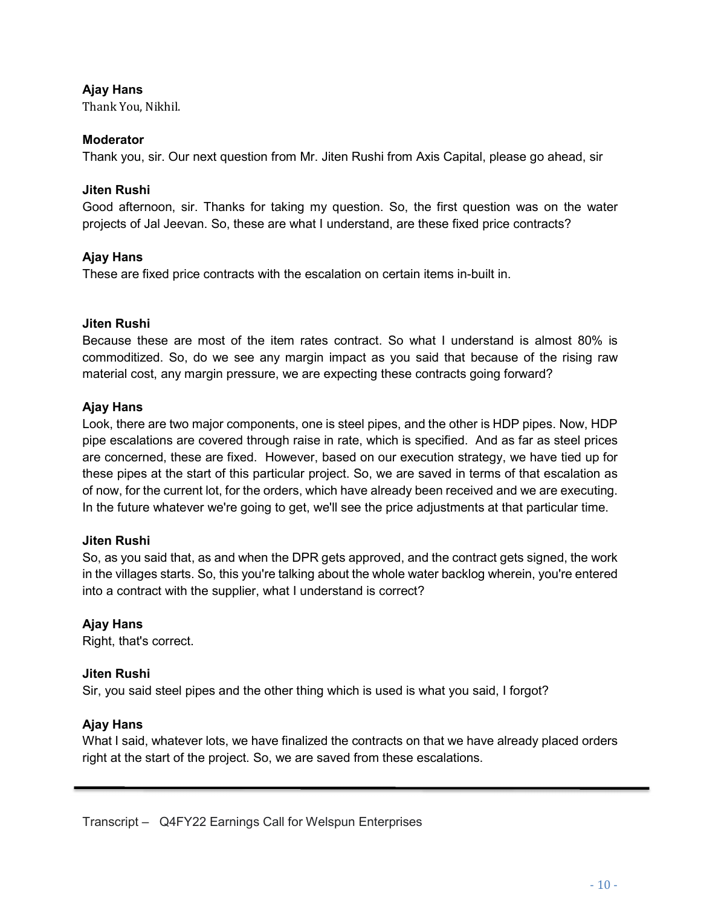### Ajay Hans

Thank You, Nikhil.

#### Moderator

Thank you, sir. Our next question from Mr. Jiten Rushi from Axis Capital, please go ahead, sir

#### Jiten Rushi

Good afternoon, sir. Thanks for taking my question. So, the first question was on the water projects of Jal Jeevan. So, these are what I understand, are these fixed price contracts?

#### Ajay Hans

These are fixed price contracts with the escalation on certain items in-built in.

#### Jiten Rushi

Because these are most of the item rates contract. So what I understand is almost 80% is commoditized. So, do we see any margin impact as you said that because of the rising raw material cost, any margin pressure, we are expecting these contracts going forward?

#### Ajay Hans

Look, there are two major components, one is steel pipes, and the other is HDP pipes. Now, HDP pipe escalations are covered through raise in rate, which is specified. And as far as steel prices are concerned, these are fixed. However, based on our execution strategy, we have tied up for these pipes at the start of this particular project. So, we are saved in terms of that escalation as of now, for the current lot, for the orders, which have already been received and we are executing. In the future whatever we're going to get, we'll see the price adjustments at that particular time.

#### Jiten Rushi

So, as you said that, as and when the DPR gets approved, and the contract gets signed, the work in the villages starts. So, this you're talking about the whole water backlog wherein, you're entered into a contract with the supplier, what I understand is correct?

#### Ajay Hans

Right, that's correct.

#### Jiten Rushi

Sir, you said steel pipes and the other thing which is used is what you said, I forgot?

#### Ajay Hans

ī

What I said, whatever lots, we have finalized the contracts on that we have already placed orders right at the start of the project. So, we are saved from these escalations.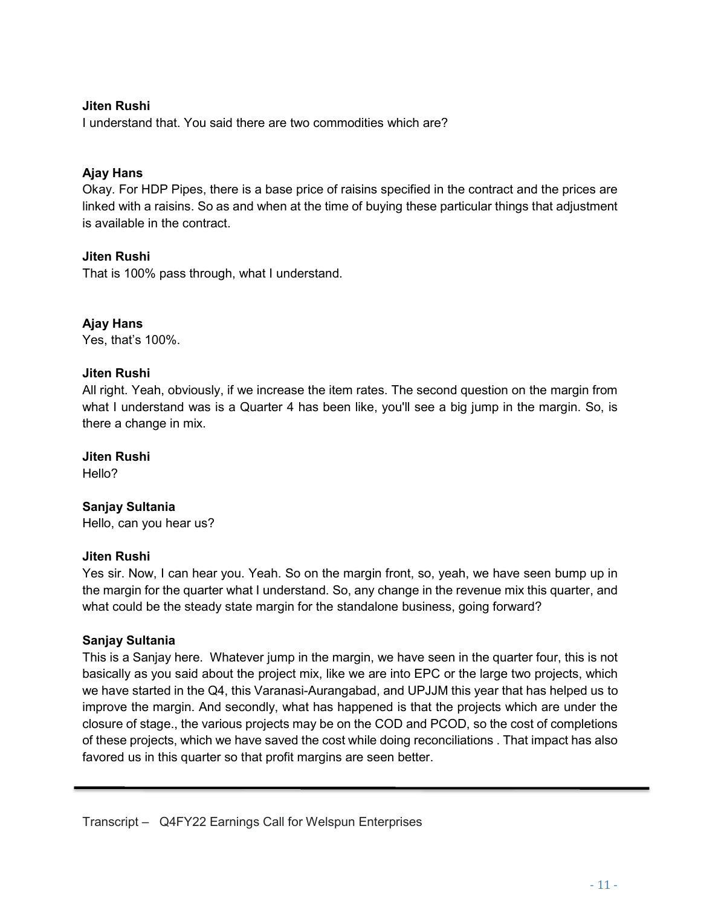### Jiten Rushi

I understand that. You said there are two commodities which are?

### Ajay Hans

Okay. For HDP Pipes, there is a base price of raisins specified in the contract and the prices are linked with a raisins. So as and when at the time of buying these particular things that adjustment is available in the contract.

#### Jiten Rushi

That is 100% pass through, what I understand.

### Ajay Hans

Yes, that's 100%.

#### Jiten Rushi

All right. Yeah, obviously, if we increase the item rates. The second question on the margin from what I understand was is a Quarter 4 has been like, you'll see a big jump in the margin. So, is there a change in mix.

#### Jiten Rushi

Hello?

#### Sanjay Sultania

Hello, can you hear us?

#### Jiten Rushi

Yes sir. Now, I can hear you. Yeah. So on the margin front, so, yeah, we have seen bump up in the margin for the quarter what I understand. So, any change in the revenue mix this quarter, and what could be the steady state margin for the standalone business, going forward?

#### Sanjay Sultania

ī

This is a Sanjay here. Whatever jump in the margin, we have seen in the quarter four, this is not basically as you said about the project mix, like we are into EPC or the large two projects, which we have started in the Q4, this Varanasi-Aurangabad, and UPJJM this year that has helped us to improve the margin. And secondly, what has happened is that the projects which are under the closure of stage., the various projects may be on the COD and PCOD, so the cost of completions of these projects, which we have saved the cost while doing reconciliations . That impact has also favored us in this quarter so that profit margins are seen better.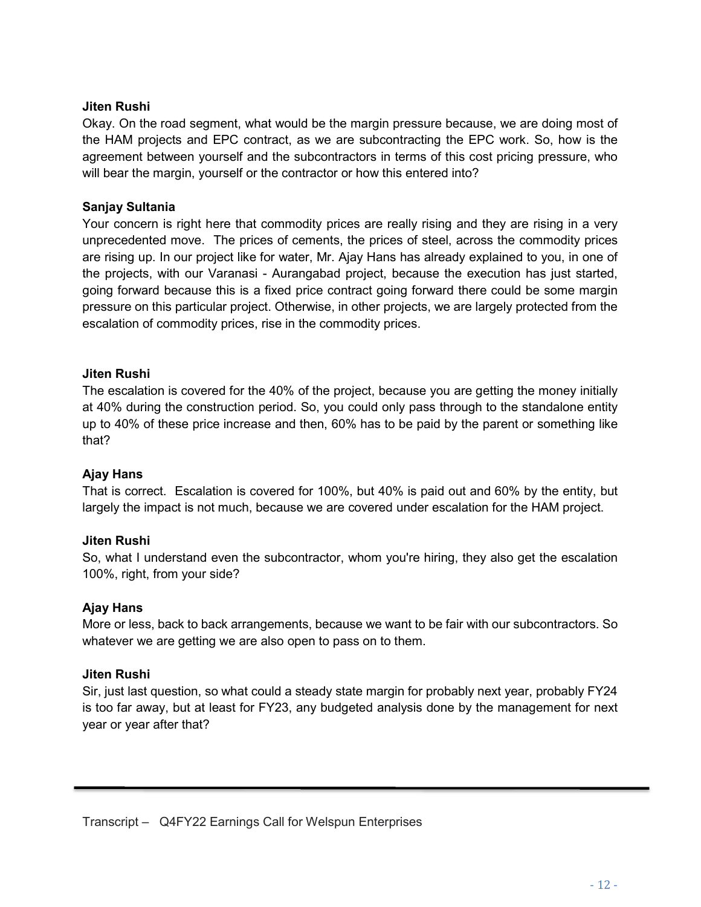### Jiten Rushi

Okay. On the road segment, what would be the margin pressure because, we are doing most of the HAM projects and EPC contract, as we are subcontracting the EPC work. So, how is the agreement between yourself and the subcontractors in terms of this cost pricing pressure, who will bear the margin, yourself or the contractor or how this entered into?

### Sanjay Sultania

Your concern is right here that commodity prices are really rising and they are rising in a very unprecedented move. The prices of cements, the prices of steel, across the commodity prices are rising up. In our project like for water, Mr. Ajay Hans has already explained to you, in one of the projects, with our Varanasi - Aurangabad project, because the execution has just started, going forward because this is a fixed price contract going forward there could be some margin pressure on this particular project. Otherwise, in other projects, we are largely protected from the escalation of commodity prices, rise in the commodity prices.

### Jiten Rushi

The escalation is covered for the 40% of the project, because you are getting the money initially at 40% during the construction period. So, you could only pass through to the standalone entity up to 40% of these price increase and then, 60% has to be paid by the parent or something like that?

#### Ajay Hans

That is correct. Escalation is covered for 100%, but 40% is paid out and 60% by the entity, but largely the impact is not much, because we are covered under escalation for the HAM project.

#### Jiten Rushi

So, what I understand even the subcontractor, whom you're hiring, they also get the escalation 100%, right, from your side?

#### Ajay Hans

More or less, back to back arrangements, because we want to be fair with our subcontractors. So whatever we are getting we are also open to pass on to them.

#### Jiten Rushi

ī

Sir, just last question, so what could a steady state margin for probably next year, probably FY24 is too far away, but at least for FY23, any budgeted analysis done by the management for next year or year after that?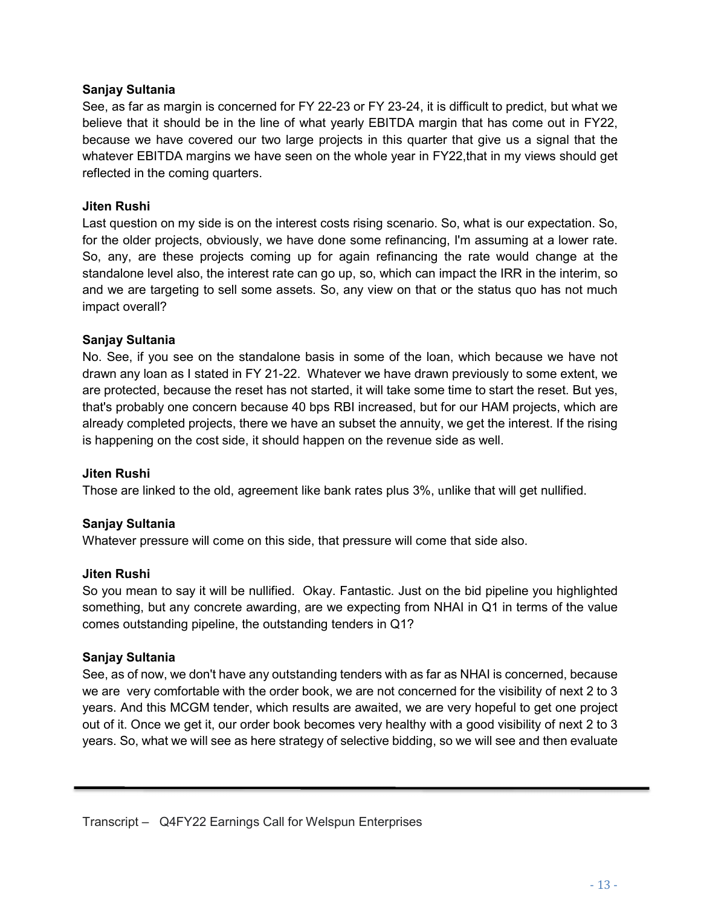### Sanjay Sultania

See, as far as margin is concerned for FY 22-23 or FY 23-24, it is difficult to predict, but what we believe that it should be in the line of what yearly EBITDA margin that has come out in FY22, because we have covered our two large projects in this quarter that give us a signal that the whatever EBITDA margins we have seen on the whole year in FY22, that in my views should get reflected in the coming quarters.

### Jiten Rushi

Last question on my side is on the interest costs rising scenario. So, what is our expectation. So, for the older projects, obviously, we have done some refinancing, I'm assuming at a lower rate. So, any, are these projects coming up for again refinancing the rate would change at the standalone level also, the interest rate can go up, so, which can impact the IRR in the interim, so and we are targeting to sell some assets. So, any view on that or the status quo has not much impact overall?

### Sanjay Sultania

No. See, if you see on the standalone basis in some of the loan, which because we have not drawn any loan as I stated in FY 21-22. Whatever we have drawn previously to some extent, we are protected, because the reset has not started, it will take some time to start the reset. But yes, that's probably one concern because 40 bps RBI increased, but for our HAM projects, which are already completed projects, there we have an subset the annuity, we get the interest. If the rising is happening on the cost side, it should happen on the revenue side as well.

#### Jiten Rushi

Those are linked to the old, agreement like bank rates plus 3%, unlike that will get nullified.

### Sanjay Sultania

Whatever pressure will come on this side, that pressure will come that side also.

#### Jiten Rushi

So you mean to say it will be nullified. Okay. Fantastic. Just on the bid pipeline you highlighted something, but any concrete awarding, are we expecting from NHAI in Q1 in terms of the value comes outstanding pipeline, the outstanding tenders in Q1?

#### Sanjay Sultania

ī

See, as of now, we don't have any outstanding tenders with as far as NHAI is concerned, because we are very comfortable with the order book, we are not concerned for the visibility of next 2 to 3 years. And this MCGM tender, which results are awaited, we are very hopeful to get one project out of it. Once we get it, our order book becomes very healthy with a good visibility of next 2 to 3 years. So, what we will see as here strategy of selective bidding, so we will see and then evaluate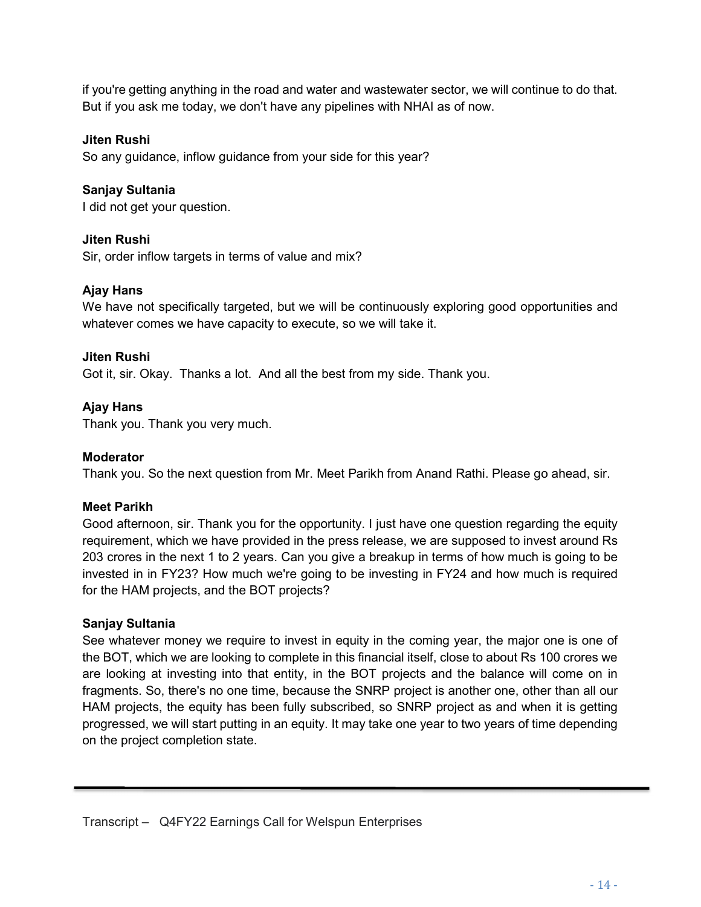if you're getting anything in the road and water and wastewater sector, we will continue to do that. But if you ask me today, we don't have any pipelines with NHAI as of now.

### Jiten Rushi

So any guidance, inflow guidance from your side for this year?

### Sanjay Sultania

I did not get your question.

#### Jiten Rushi

Sir, order inflow targets in terms of value and mix?

### Ajay Hans

We have not specifically targeted, but we will be continuously exploring good opportunities and whatever comes we have capacity to execute, so we will take it.

#### Jiten Rushi

Got it, sir. Okay. Thanks a lot. And all the best from my side. Thank you.

### Ajay Hans

Thank you. Thank you very much.

#### Moderator

Thank you. So the next question from Mr. Meet Parikh from Anand Rathi. Please go ahead, sir.

#### Meet Parikh

Good afternoon, sir. Thank you for the opportunity. I just have one question regarding the equity requirement, which we have provided in the press release, we are supposed to invest around Rs 203 crores in the next 1 to 2 years. Can you give a breakup in terms of how much is going to be invested in in FY23? How much we're going to be investing in FY24 and how much is required for the HAM projects, and the BOT projects?

#### Sanjay Sultania

ī

See whatever money we require to invest in equity in the coming year, the major one is one of the BOT, which we are looking to complete in this financial itself, close to about Rs 100 crores we are looking at investing into that entity, in the BOT projects and the balance will come on in fragments. So, there's no one time, because the SNRP project is another one, other than all our HAM projects, the equity has been fully subscribed, so SNRP project as and when it is getting progressed, we will start putting in an equity. It may take one year to two years of time depending on the project completion state.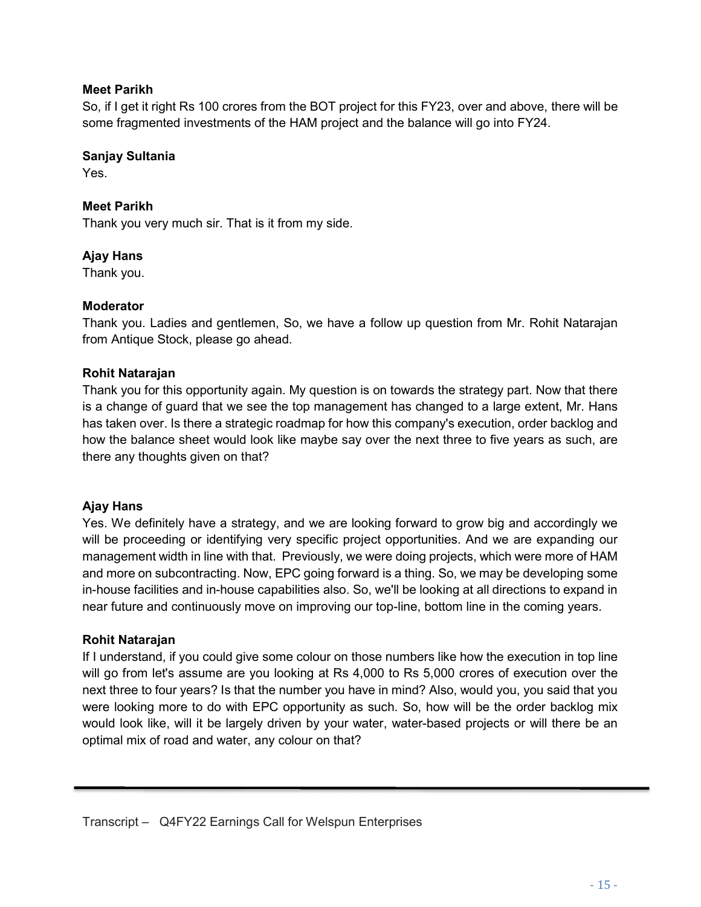### Meet Parikh

So, if I get it right Rs 100 crores from the BOT project for this FY23, over and above, there will be some fragmented investments of the HAM project and the balance will go into FY24.

### Sanjay Sultania

Yes.

## Meet Parikh

Thank you very much sir. That is it from my side.

### Ajay Hans

Thank you.

### Moderator

Thank you. Ladies and gentlemen, So, we have a follow up question from Mr. Rohit Natarajan from Antique Stock, please go ahead.

### Rohit Natarajan

Thank you for this opportunity again. My question is on towards the strategy part. Now that there is a change of guard that we see the top management has changed to a large extent, Mr. Hans has taken over. Is there a strategic roadmap for how this company's execution, order backlog and how the balance sheet would look like maybe say over the next three to five years as such, are there any thoughts given on that?

#### Ajay Hans

Yes. We definitely have a strategy, and we are looking forward to grow big and accordingly we will be proceeding or identifying very specific project opportunities. And we are expanding our management width in line with that. Previously, we were doing projects, which were more of HAM and more on subcontracting. Now, EPC going forward is a thing. So, we may be developing some in-house facilities and in-house capabilities also. So, we'll be looking at all directions to expand in near future and continuously move on improving our top-line, bottom line in the coming years.

### Rohit Natarajan

ī

If I understand, if you could give some colour on those numbers like how the execution in top line will go from let's assume are you looking at Rs 4,000 to Rs 5,000 crores of execution over the next three to four years? Is that the number you have in mind? Also, would you, you said that you were looking more to do with EPC opportunity as such. So, how will be the order backlog mix would look like, will it be largely driven by your water, water-based projects or will there be an optimal mix of road and water, any colour on that?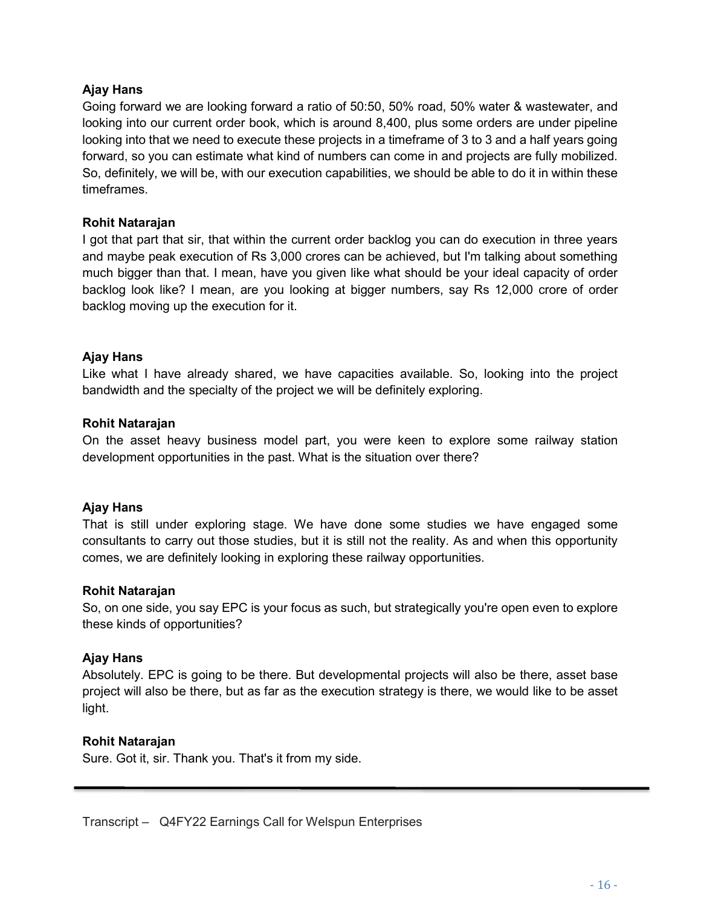### Ajay Hans

Going forward we are looking forward a ratio of 50:50, 50% road, 50% water & wastewater, and looking into our current order book, which is around 8,400, plus some orders are under pipeline looking into that we need to execute these projects in a timeframe of 3 to 3 and a half years going forward, so you can estimate what kind of numbers can come in and projects are fully mobilized. So, definitely, we will be, with our execution capabilities, we should be able to do it in within these timeframes.

#### Rohit Natarajan

I got that part that sir, that within the current order backlog you can do execution in three years and maybe peak execution of Rs 3,000 crores can be achieved, but I'm talking about something much bigger than that. I mean, have you given like what should be your ideal capacity of order backlog look like? I mean, are you looking at bigger numbers, say Rs 12,000 crore of order backlog moving up the execution for it.

### Ajay Hans

Like what I have already shared, we have capacities available. So, looking into the project bandwidth and the specialty of the project we will be definitely exploring.

#### Rohit Natarajan

On the asset heavy business model part, you were keen to explore some railway station development opportunities in the past. What is the situation over there?

#### Ajay Hans

That is still under exploring stage. We have done some studies we have engaged some consultants to carry out those studies, but it is still not the reality. As and when this opportunity comes, we are definitely looking in exploring these railway opportunities.

#### Rohit Natarajan

So, on one side, you say EPC is your focus as such, but strategically you're open even to explore these kinds of opportunities?

#### Ajay Hans

Absolutely. EPC is going to be there. But developmental projects will also be there, asset base project will also be there, but as far as the execution strategy is there, we would like to be asset light.

#### Rohit Natarajan

ī

Sure. Got it, sir. Thank you. That's it from my side.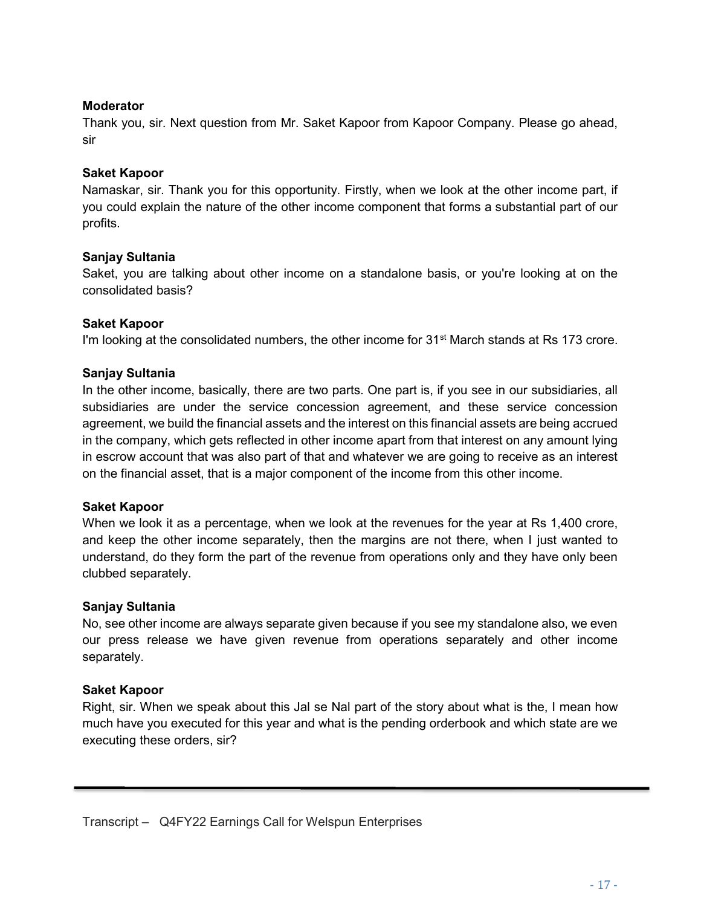#### Moderator

Thank you, sir. Next question from Mr. Saket Kapoor from Kapoor Company. Please go ahead, sir

#### Saket Kapoor

Namaskar, sir. Thank you for this opportunity. Firstly, when we look at the other income part, if you could explain the nature of the other income component that forms a substantial part of our profits.

#### Sanjay Sultania

Saket, you are talking about other income on a standalone basis, or you're looking at on the consolidated basis?

#### Saket Kapoor

I'm looking at the consolidated numbers, the other income for 31<sup>st</sup> March stands at Rs 173 crore.

#### Sanjay Sultania

In the other income, basically, there are two parts. One part is, if you see in our subsidiaries, all subsidiaries are under the service concession agreement, and these service concession agreement, we build the financial assets and the interest on this financial assets are being accrued in the company, which gets reflected in other income apart from that interest on any amount lying in escrow account that was also part of that and whatever we are going to receive as an interest on the financial asset, that is a major component of the income from this other income.

#### Saket Kapoor

When we look it as a percentage, when we look at the revenues for the year at Rs 1,400 crore, and keep the other income separately, then the margins are not there, when I just wanted to understand, do they form the part of the revenue from operations only and they have only been clubbed separately.

#### Sanjay Sultania

No, see other income are always separate given because if you see my standalone also, we even our press release we have given revenue from operations separately and other income separately.

#### Saket Kapoor

ī

Right, sir. When we speak about this Jal se Nal part of the story about what is the, I mean how much have you executed for this year and what is the pending orderbook and which state are we executing these orders, sir?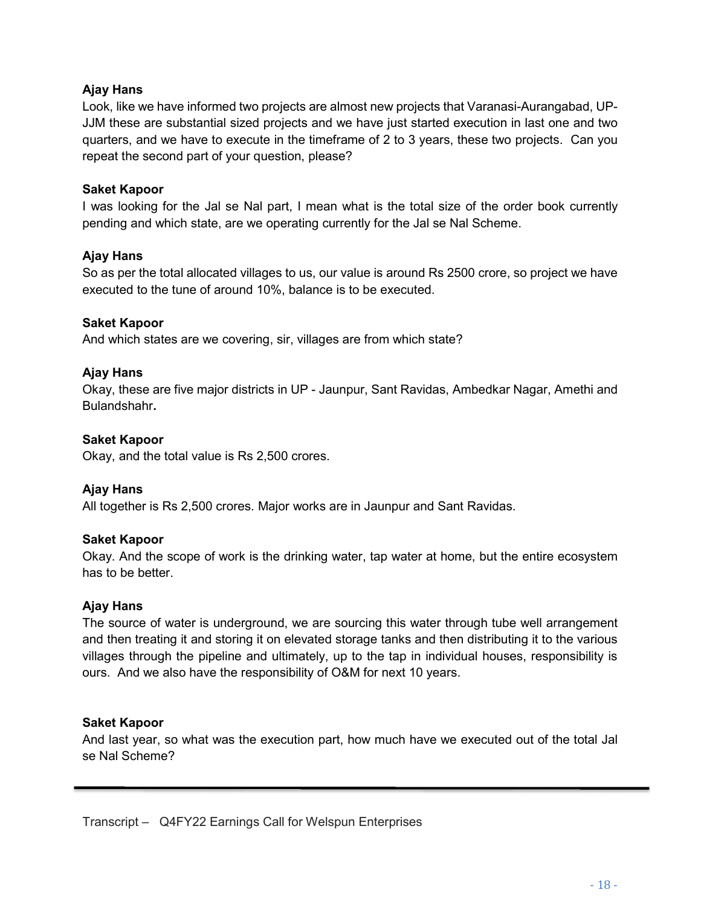### Ajay Hans

Look, like we have informed two projects are almost new projects that Varanasi-Aurangabad, UP-JJM these are substantial sized projects and we have just started execution in last one and two quarters, and we have to execute in the timeframe of 2 to 3 years, these two projects. Can you repeat the second part of your question, please?

#### Saket Kapoor

I was looking for the Jal se Nal part, I mean what is the total size of the order book currently pending and which state, are we operating currently for the Jal se Nal Scheme.

#### Ajay Hans

So as per the total allocated villages to us, our value is around Rs 2500 crore, so project we have executed to the tune of around 10%, balance is to be executed.

#### Saket Kapoor

And which states are we covering, sir, villages are from which state?

#### Ajay Hans

Okay, these are five major districts in UP - Jaunpur, Sant Ravidas, Ambedkar Nagar, Amethi and Bulandshahr.

#### Saket Kapoor

Okay, and the total value is Rs 2,500 crores.

#### Ajay Hans

All together is Rs 2,500 crores. Major works are in Jaunpur and Sant Ravidas.

#### Saket Kapoor

Okay. And the scope of work is the drinking water, tap water at home, but the entire ecosystem has to be better.

#### Ajay Hans

The source of water is underground, we are sourcing this water through tube well arrangement and then treating it and storing it on elevated storage tanks and then distributing it to the various villages through the pipeline and ultimately, up to the tap in individual houses, responsibility is ours. And we also have the responsibility of O&M for next 10 years.

#### Saket Kapoor

ī

And last year, so what was the execution part, how much have we executed out of the total Jal se Nal Scheme?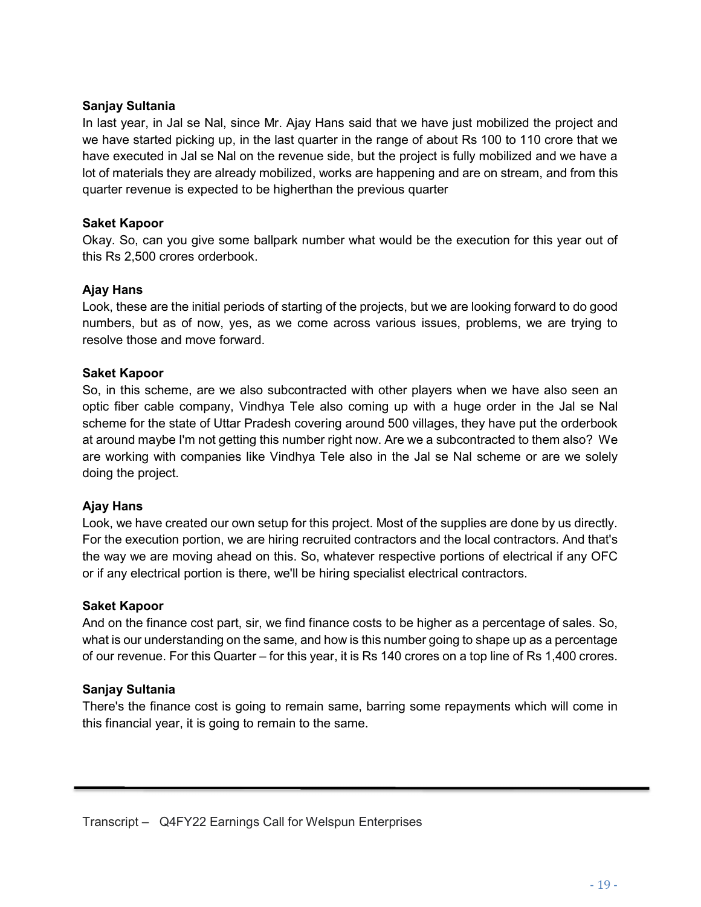#### Sanjay Sultania

In last year, in Jal se Nal, since Mr. Ajay Hans said that we have just mobilized the project and we have started picking up, in the last quarter in the range of about Rs 100 to 110 crore that we have executed in Jal se Nal on the revenue side, but the project is fully mobilized and we have a lot of materials they are already mobilized, works are happening and are on stream, and from this quarter revenue is expected to be higherthan the previous quarter

### Saket Kapoor

Okay. So, can you give some ballpark number what would be the execution for this year out of this Rs 2,500 crores orderbook.

### Ajay Hans

Look, these are the initial periods of starting of the projects, but we are looking forward to do good numbers, but as of now, yes, as we come across various issues, problems, we are trying to resolve those and move forward.

### Saket Kapoor

So, in this scheme, are we also subcontracted with other players when we have also seen an optic fiber cable company, Vindhya Tele also coming up with a huge order in the Jal se Nal scheme for the state of Uttar Pradesh covering around 500 villages, they have put the orderbook at around maybe I'm not getting this number right now. Are we a subcontracted to them also? We are working with companies like Vindhya Tele also in the Jal se Nal scheme or are we solely doing the project.

#### Ajay Hans

Look, we have created our own setup for this project. Most of the supplies are done by us directly. For the execution portion, we are hiring recruited contractors and the local contractors. And that's the way we are moving ahead on this. So, whatever respective portions of electrical if any OFC or if any electrical portion is there, we'll be hiring specialist electrical contractors.

#### Saket Kapoor

And on the finance cost part, sir, we find finance costs to be higher as a percentage of sales. So, what is our understanding on the same, and how is this number going to shape up as a percentage of our revenue. For this Quarter – for this year, it is Rs 140 crores on a top line of Rs 1,400 crores.

### Sanjay Sultania

ī

There's the finance cost is going to remain same, barring some repayments which will come in this financial year, it is going to remain to the same.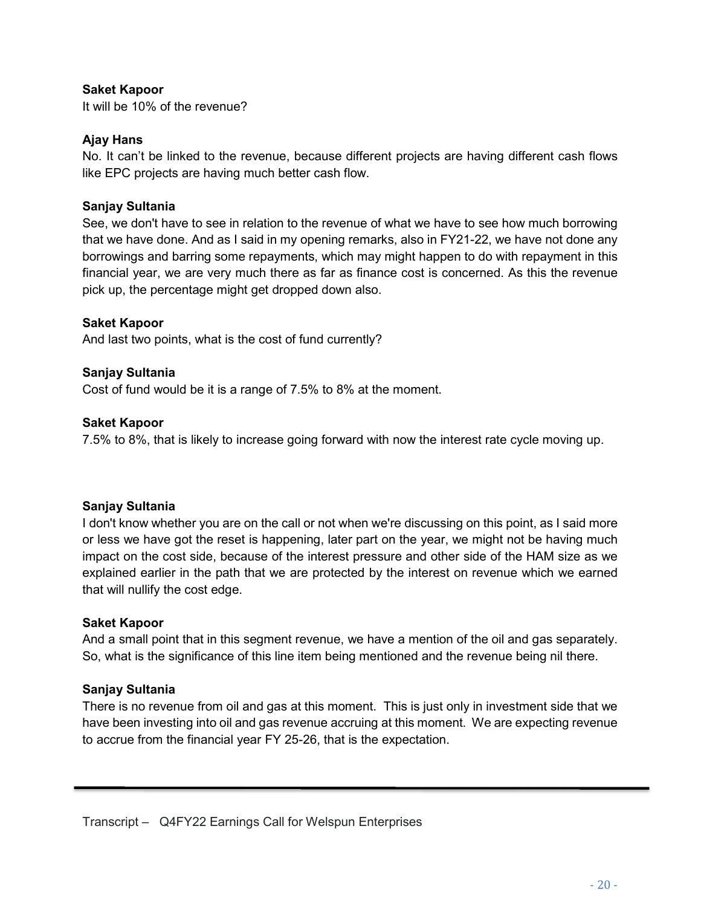### Saket Kapoor

It will be 10% of the revenue?

### Ajay Hans

No. It can't be linked to the revenue, because different projects are having different cash flows like EPC projects are having much better cash flow.

### Sanjay Sultania

See, we don't have to see in relation to the revenue of what we have to see how much borrowing that we have done. And as I said in my opening remarks, also in FY21-22, we have not done any borrowings and barring some repayments, which may might happen to do with repayment in this financial year, we are very much there as far as finance cost is concerned. As this the revenue pick up, the percentage might get dropped down also.

#### Saket Kapoor

And last two points, what is the cost of fund currently?

#### Sanjay Sultania

Cost of fund would be it is a range of 7.5% to 8% at the moment.

#### Saket Kapoor

7.5% to 8%, that is likely to increase going forward with now the interest rate cycle moving up.

#### Sanjay Sultania

I don't know whether you are on the call or not when we're discussing on this point, as I said more or less we have got the reset is happening, later part on the year, we might not be having much impact on the cost side, because of the interest pressure and other side of the HAM size as we explained earlier in the path that we are protected by the interest on revenue which we earned that will nullify the cost edge.

#### Saket Kapoor

And a small point that in this segment revenue, we have a mention of the oil and gas separately. So, what is the significance of this line item being mentioned and the revenue being nil there.

#### Sanjay Sultania

ī

There is no revenue from oil and gas at this moment. This is just only in investment side that we have been investing into oil and gas revenue accruing at this moment. We are expecting revenue to accrue from the financial year FY 25-26, that is the expectation.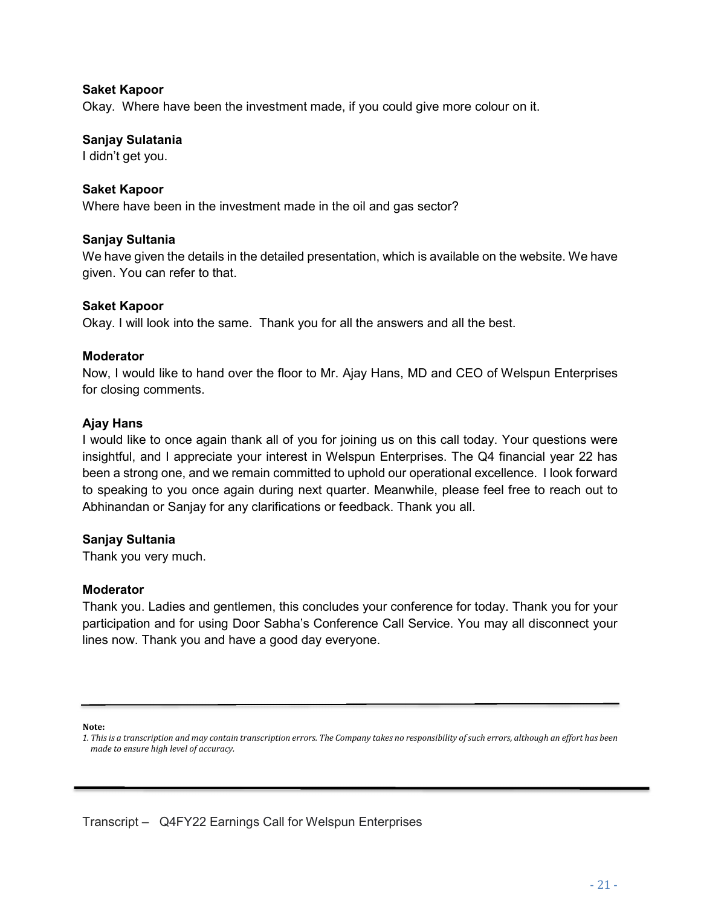#### Saket Kapoor

Okay. Where have been the investment made, if you could give more colour on it.

#### Sanjay Sulatania

I didn't get you.

#### Saket Kapoor

Where have been in the investment made in the oil and gas sector?

#### Sanjay Sultania

We have given the details in the detailed presentation, which is available on the website. We have given. You can refer to that.

#### Saket Kapoor

Okay. I will look into the same. Thank you for all the answers and all the best.

#### **Moderator**

Now, I would like to hand over the floor to Mr. Ajay Hans, MD and CEO of Welspun Enterprises for closing comments.

#### Ajay Hans

I would like to once again thank all of you for joining us on this call today. Your questions were insightful, and I appreciate your interest in Welspun Enterprises. The Q4 financial year 22 has been a strong one, and we remain committed to uphold our operational excellence. I look forward to speaking to you once again during next quarter. Meanwhile, please feel free to reach out to Abhinandan or Sanjay for any clarifications or feedback. Thank you all.

#### Sanjay Sultania

Thank you very much.

#### Moderator

Thank you. Ladies and gentlemen, this concludes your conference for today. Thank you for your participation and for using Door Sabha's Conference Call Service. You may all disconnect your lines now. Thank you and have a good day everyone.

#### Note:

ī

1. This is a transcription and may contain transcription errors. The Company takes no responsibility of such errors, although an effort has been made to ensure high level of accuracy.